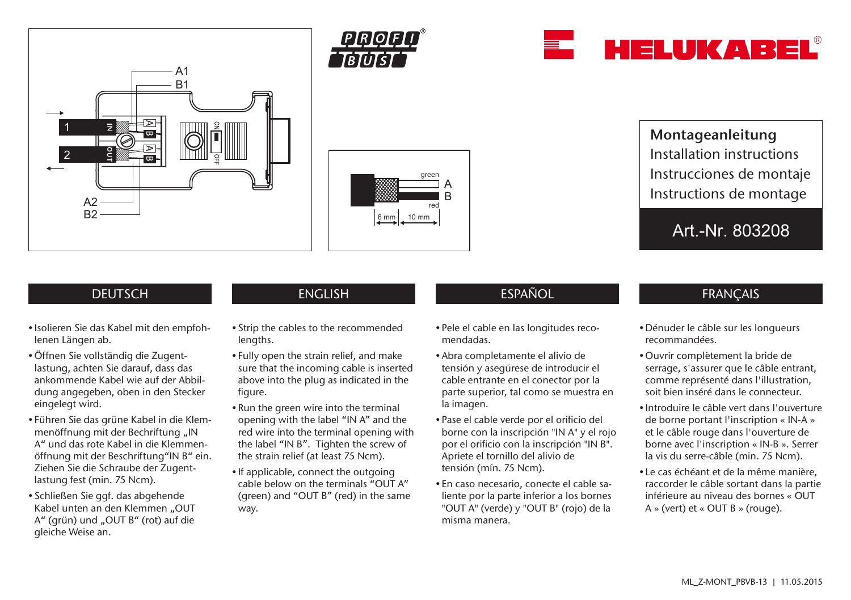







Montageanleitung Installation instructions Instrucciones de montaje Instructions de montage

Art.-Nr. 803208

## **DEUTSCH**

- Isolieren Sie das Kabel mit den empfohlenen Längen ab.
- •Öffnen Sie vollständig die Zugentlastung, achten Sie darauf, dass das ankommende Kabel wie auf der Abbildung angegeben, oben in den Stecker eingelegt wird.
- Führen Sie das grüne Kabel in die Klemmenöffnung mit der Bechriftung "IN A" und das rote Kabel in die Klemmenöffnung mit der Beschriftung"IN B" ein. Ziehen Sie die Schraube der Zugentlastung fest (min. 75 Ncm).
- Schließen Sie ggf. das abgehende Kabel unten an den Klemmen "OUT A" (grün) und "OUT B" (rot) auf die gleiche Weise an.

• Strip the cables to the recommended

lengths.

- Fully open the strain relief, and make sure that the incoming cable is inserted above into the plug as indicated in the figure.
- Run the green wire into the terminal opening with the label "IN A" and the red wire into the terminal opening with the label "IN B". Tighten the screw of the strain relief (at least 75 Ncm).
- If applicable, connect the outgoing cable below on the terminals "OUT A" (green) and "OUT B" (red) in the same way.

# ENGLISH ESPAÑOL ESPAÑOL FRANÇAIS

- Pele el cable en las longitudes recomendadas.
- Abra completamente el alivio de tensión y asegúrese de introducir el cable entrante en el conector por la parte superior, tal como se muestra en la imagen.
- Pase el cable verde por el orificio del borne con la inscripción "IN A" y el rojo por el orificio con la inscripción "IN B". Apriete el tornillo del alivio de tensión (mín. 75 Ncm).
- En caso necesario, conecte el cable saliente por la parte inferior a los bornes "OUT A" (verde) y "OUT B" (rojo) de la misma manera.

- Dénuder le câble sur les longueurs recommandées.
- •Ouvrir complètement la bride de serrage, s'assurer que le câble entrant, comme représenté dans l'illustration, soit bien inséré dans le connecteur.
- Introduire le câble vert dans l'ouverture de borne portant l'inscription « IN-A » et le câble rouge dans l'ouverture de borne avec l'inscription « IN-B ». Serrer la vis du serre-câble (min. 75 Ncm).
- Le cas échéant et de la même manière, raccorder le câble sortant dans la partie inférieure au niveau des bornes « OUT A » (vert) et « OUT B » (rouge).